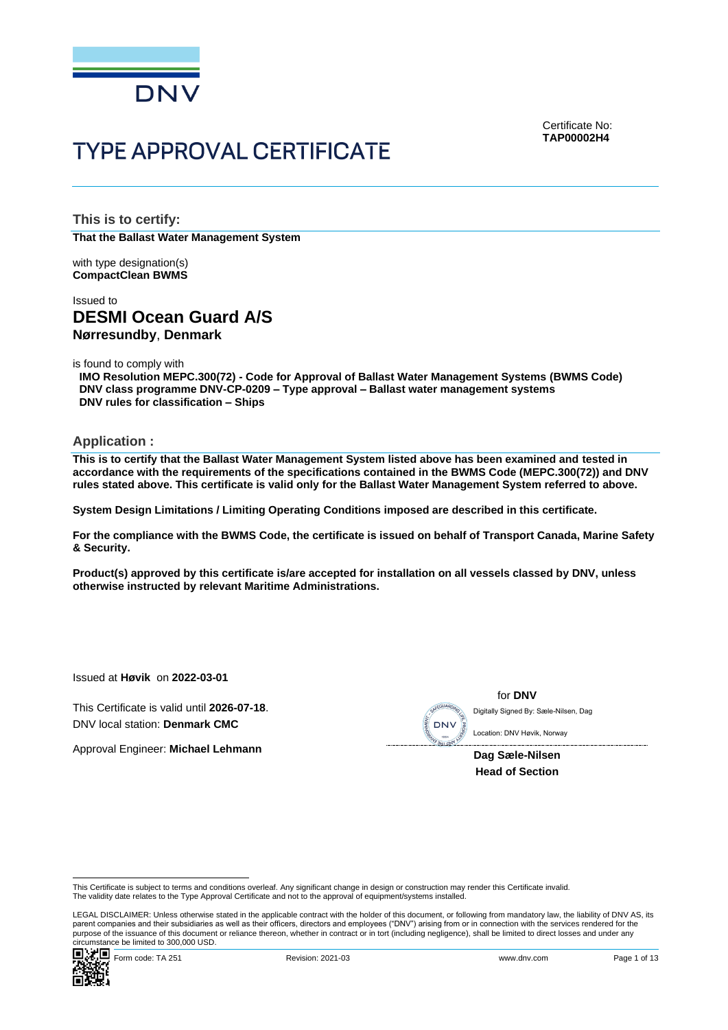

Certificate No: **TAP00002H4**

# **TYPE APPROVAL CERTIFICATE**

**This is to certify: That the Ballast Water Management System**

with type designation(s) **CompactClean BWMS**

## Issued to **DESMI Ocean Guard A/S Nørresundby**, **Denmark**

is found to comply with

**IMO Resolution MEPC.300(72) - Code for Approval of Ballast Water Management Systems (BWMS Code) DNV class programme DNV-CP-0209 – Type approval – Ballast water management systems DNV rules for classification – Ships**

**Application :**

**This is to certify that the Ballast Water Management System listed above has been examined and tested in accordance with the requirements of the specifications contained in the BWMS Code (MEPC.300(72)) and DNV rules stated above. This certificate is valid only for the Ballast Water Management System referred to above.**

**System Design Limitations / Limiting Operating Conditions imposed are described in this certificate.**

**For the compliance with the BWMS Code, the certificate is issued on behalf of Transport Canada, Marine Safety & Security.**

**Product(s) approved by this certificate is/are accepted for installation on all vessels classed by DNV, unless otherwise instructed by relevant Maritime Administrations.**

Issued at **Høvik** on **2022-03-01**

This Certificate is valid until **2026-07-18**. DNV local station: **Denmark CMC**

Approval Engineer: **Michael Lehmann**



for **DNV** Digitally Signed By: Sæle-Nilsen, Dag

**Dag Sæle-Nilsen Head of Section**

This Certificate is subject to terms and conditions overleaf. Any significant change in design or construction may render this Certificate invalid. The validity date relates to the Type Approval Certificate and not to the approval of equipment/systems installed.

LEGAL DISCLAIMER: Unless otherwise stated in the applicable contract with the holder of this document, or following from mandatory law, the liability of DNV AS, its parent companies and their subsidiaries as well as their officers, directors and employees ("DNV") arising from or in connection with the services rendered for the purpose of the issuance of this document or reliance thereon, whether in contract or in tort (including negligence), shall be limited to direct losses and under any circumstance be limited to 300,000 USD.

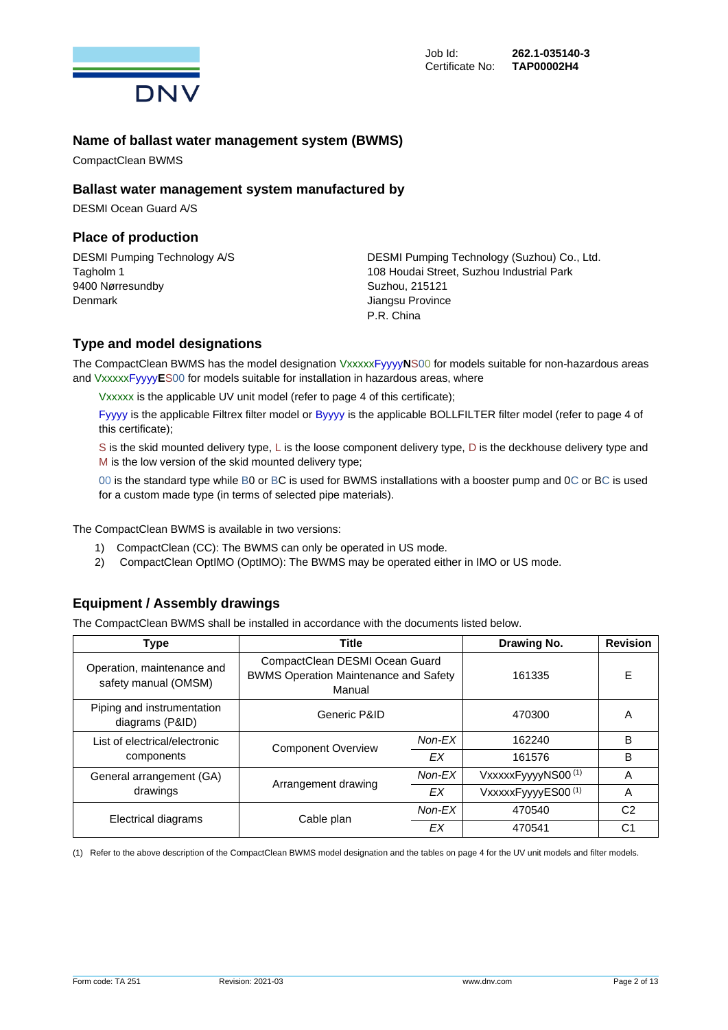

## **Name of ballast water management system (BWMS)**

CompactClean BWMS

## **Ballast water management system manufactured by**

DESMI Ocean Guard A/S

## **Place of production**

9400 Nørresundby Suzhou, 215121 Denmark **Denmark** Jiangsu Province

DESMI Pumping Technology A/S DESMI Pumping Technology (Suzhou) Co., Ltd. Tagholm 1 108 Houdai Street, Suzhou Industrial Park P.R. China

## **Type and model designations**

The CompactClean BWMS has the model designation VxxxxxFyyyy**N**S00 for models suitable for non-hazardous areas and VxxxxxFyyyy**E**S00 for models suitable for installation in hazardous areas, where

Vxxxxx is the applicable UV unit model (refer to page 4 of this certificate);

Fyyyy is the applicable Filtrex filter model or Byyyy is the applicable BOLLFILTER filter model (refer to page 4 of this certificate);

S is the skid mounted delivery type, L is the loose component delivery type, D is the deckhouse delivery type and M is the low version of the skid mounted delivery type;

00 is the standard type while B0 or BC is used for BWMS installations with a booster pump and 0C or BC is used for a custom made type (in terms of selected pipe materials).

The CompactClean BWMS is available in two versions:

- 1) CompactClean (CC): The BWMS can only be operated in US mode.
- 2) CompactClean OptIMO (OptIMO): The BWMS may be operated either in IMO or US mode.

## **Equipment / Assembly drawings**

The CompactClean BWMS shall be installed in accordance with the documents listed below.

| <b>Type</b>                                        | <b>Title</b>                                                                             | Drawing No. | <b>Revision</b>    |                |
|----------------------------------------------------|------------------------------------------------------------------------------------------|-------------|--------------------|----------------|
| Operation, maintenance and<br>safety manual (OMSM) | CompactClean DESMI Ocean Guard<br><b>BWMS Operation Maintenance and Safety</b><br>Manual | 161335      | F                  |                |
| Piping and instrumentation<br>diagrams (P&ID)      | Generic P&ID                                                                             | 470300      | A                  |                |
| List of electrical/electronic                      | <b>Component Overview</b>                                                                | Non-EX      | 162240             | B              |
| components                                         |                                                                                          | EX          | 161576             | B              |
| General arrangement (GA)                           |                                                                                          | Non-EX      | VxxxxxFyyyyNS00(1) | A              |
| drawings                                           | Arrangement drawing<br>EX                                                                |             | VxxxxxFyyyyES00(1) | A              |
| Electrical diagrams                                |                                                                                          | Non-EX      | 470540             | C <sub>2</sub> |
|                                                    | Cable plan<br>EX                                                                         |             | 470541             | C <sup>1</sup> |

(1) Refer to the above description of the CompactClean BWMS model designation and the tables on page 4 for the UV unit models and filter models.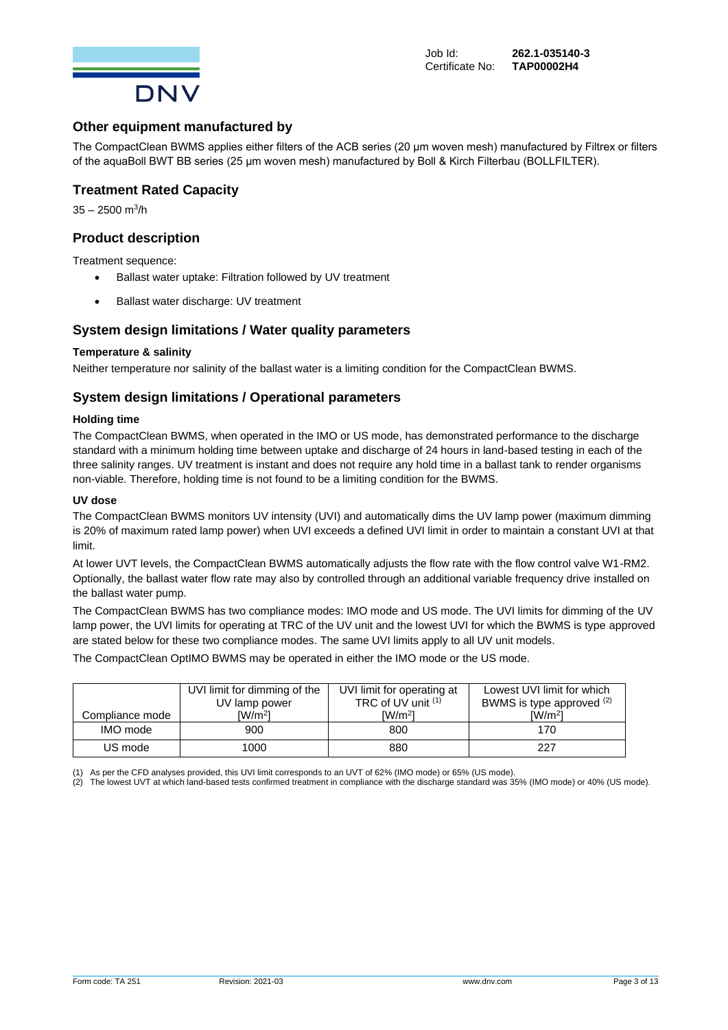

## **Other equipment manufactured by**

The CompactClean BWMS applies either filters of the ACB series (20 μm woven mesh) manufactured by Filtrex or filters of the aquaBoll BWT BB series (25 μm woven mesh) manufactured by Boll & Kirch Filterbau (BOLLFILTER).

## **Treatment Rated Capacity**

35 – 2500 m<sup>3</sup>/h

## **Product description**

Treatment sequence:

- Ballast water uptake: Filtration followed by UV treatment
- Ballast water discharge: UV treatment

## **System design limitations / Water quality parameters**

#### **Temperature & salinity**

Neither temperature nor salinity of the ballast water is a limiting condition for the CompactClean BWMS.

## **System design limitations / Operational parameters**

#### **Holding time**

The CompactClean BWMS, when operated in the IMO or US mode, has demonstrated performance to the discharge standard with a minimum holding time between uptake and discharge of 24 hours in land-based testing in each of the three salinity ranges. UV treatment is instant and does not require any hold time in a ballast tank to render organisms non-viable. Therefore, holding time is not found to be a limiting condition for the BWMS.

#### **UV dose**

The CompactClean BWMS monitors UV intensity (UVI) and automatically dims the UV lamp power (maximum dimming is 20% of maximum rated lamp power) when UVI exceeds a defined UVI limit in order to maintain a constant UVI at that limit.

At lower UVT levels, the CompactClean BWMS automatically adjusts the flow rate with the flow control valve W1-RM2. Optionally, the ballast water flow rate may also by controlled through an additional variable frequency drive installed on the ballast water pump.

The CompactClean BWMS has two compliance modes: IMO mode and US mode. The UVI limits for dimming of the UV lamp power, the UVI limits for operating at TRC of the UV unit and the lowest UVI for which the BWMS is type approved are stated below for these two compliance modes. The same UVI limits apply to all UV unit models.

The CompactClean OptIMO BWMS may be operated in either the IMO mode or the US mode.

|                 | UVI limit for dimming of the | UVI limit for operating at | Lowest UVI limit for which  |  |
|-----------------|------------------------------|----------------------------|-----------------------------|--|
|                 | UV lamp power                | TRC of UV unit (1)         | BWMS is type approved (2)   |  |
| Compliance mode | $\lceil W/m^2 \rceil$        | $\lceil W/m^2 \rceil$      | $\lceil$ W/m <sup>2</sup> l |  |
| IMO mode        | 900                          | 800                        | 170                         |  |
| US mode         | 1000                         | 880                        | 227                         |  |

(1) As per the CFD analyses provided, this UVI limit corresponds to an UVT of 62% (IMO mode) or 65% (US mode).

(2) The lowest UVT at which land-based tests confirmed treatment in compliance with the discharge standard was 35% (IMO mode) or 40% (US mode).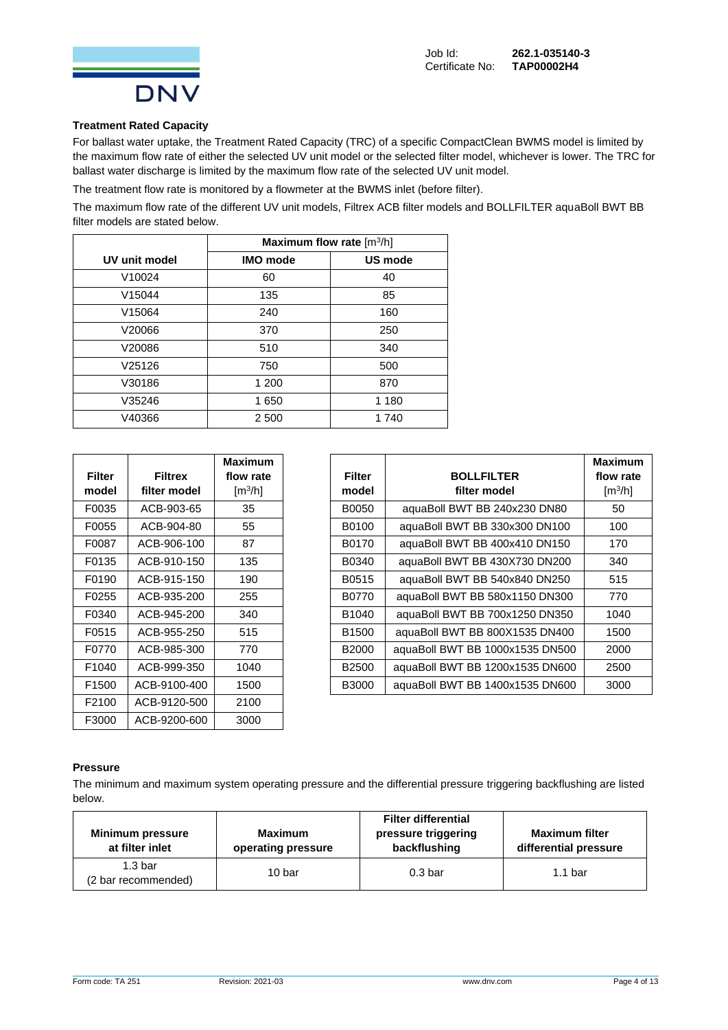

#### **Treatment Rated Capacity**

For ballast water uptake, the Treatment Rated Capacity (TRC) of a specific CompactClean BWMS model is limited by the maximum flow rate of either the selected UV unit model or the selected filter model, whichever is lower. The TRC for ballast water discharge is limited by the maximum flow rate of the selected UV unit model.

The treatment flow rate is monitored by a flowmeter at the BWMS inlet (before filter).

The maximum flow rate of the different UV unit models, Filtrex ACB filter models and BOLLFILTER aquaBoll BWT BB filter models are stated below.

|                    | Maximum flow rate $[m^3/h]$ |         |  |  |  |  |
|--------------------|-----------------------------|---------|--|--|--|--|
| UV unit model      | <b>IMO</b> mode             | US mode |  |  |  |  |
| V10024             | 60                          | 40      |  |  |  |  |
| V <sub>15044</sub> | 135                         | 85      |  |  |  |  |
| V15064             | 240                         | 160     |  |  |  |  |
| V20066             | 370                         | 250     |  |  |  |  |
| V20086             | 510                         | 340     |  |  |  |  |
| V25126             | 750                         | 500     |  |  |  |  |
| V30186             | 1 200                       | 870     |  |  |  |  |
| V35246             | 1650                        | 1 1 8 0 |  |  |  |  |
| V40366             | 2 500                       | 1740    |  |  |  |  |

| Filter            | <b>Filtrex</b> | Maximum<br>flow rate  |
|-------------------|----------------|-----------------------|
| model             | filter model   | $\lceil m^3/h \rceil$ |
| F0035             | ACB-903-65     | 35                    |
| F0055             | ACB-904-80     | 55                    |
| F0087             | ACB-906-100    | 87                    |
| F0135             | ACB-910-150    | 135                   |
| F0190             | ACB-915-150    | 190                   |
| F0255             | ACB-935-200    | 255                   |
| F0340             | ACB-945-200    | 340                   |
| F0515             | ACB-955-250    | 515                   |
| F0770             | ACB-985-300    | 770                   |
| F <sub>1040</sub> | ACB-999-350    | 1040                  |
| F1500             | ACB-9100-400   | 1500                  |
| F2100             | ACB-9120-500   | 2100                  |
| F3000             | ACB-9200-600   | 3000                  |

|               |                | <b>Maximum</b>               |                   |                                 | <b>Maximum</b>               |
|---------------|----------------|------------------------------|-------------------|---------------------------------|------------------------------|
| <b>Filter</b> | <b>Filtrex</b> | flow rate                    | <b>Filter</b>     | <b>BOLLFILTER</b>               | flow rate                    |
| model         | filter model   | $\left[\frac{m^3}{h}\right]$ | model             | filter model                    | $\left[\frac{m^3}{h}\right]$ |
| F0035         | ACB-903-65     | 35                           | B0050             | aquaBoll BWT BB 240x230 DN80    | 50                           |
| F0055         | ACB-904-80     | 55                           | B0100             | aquaBoll BWT BB 330x300 DN100   | 100                          |
| F0087         | ACB-906-100    | 87                           | B0170             | aquaBoll BWT BB 400x410 DN150   | 170                          |
| F0135         | ACB-910-150    | 135                          | B0340             | aquaBoll BWT BB 430X730 DN200   | 340                          |
| F0190         | ACB-915-150    | 190                          | B0515             | aquaBoll BWT BB 540x840 DN250   | 515                          |
| F0255         | ACB-935-200    | 255                          | B0770             | aquaBoll BWT BB 580x1150 DN300  | 770                          |
| F0340         | ACB-945-200    | 340                          | B1040             | aquaBoll BWT BB 700x1250 DN350  | 1040                         |
| F0515         | ACB-955-250    | 515                          | B <sub>1500</sub> | aquaBoll BWT BB 800X1535 DN400  | 1500                         |
| F0770         | ACB-985-300    | 770                          | <b>B2000</b>      | aquaBoll BWT BB 1000x1535 DN500 | 2000                         |
| F1040         | ACB-999-350    | 1040                         | B <sub>2500</sub> | aquaBoll BWT BB 1200x1535 DN600 | 2500                         |
| F1500         | ACB-9100-400   | 1500                         | B3000             | aquaBoll BWT BB 1400x1535 DN600 | 3000                         |

#### **Pressure**

The minimum and maximum system operating pressure and the differential pressure triggering backflushing are listed below.

| <b>Minimum pressure</b><br>at filter inlet | Maximum<br>operating pressure | <b>Filter differential</b><br>pressure triggering<br>backflushing | <b>Maximum filter</b><br>differential pressure |  |
|--------------------------------------------|-------------------------------|-------------------------------------------------------------------|------------------------------------------------|--|
| 1.3 <sub>bar</sub><br>(2 bar recommended)  | 10 bar                        | $0.3b$ ar                                                         | 1.1 <sub>bar</sub>                             |  |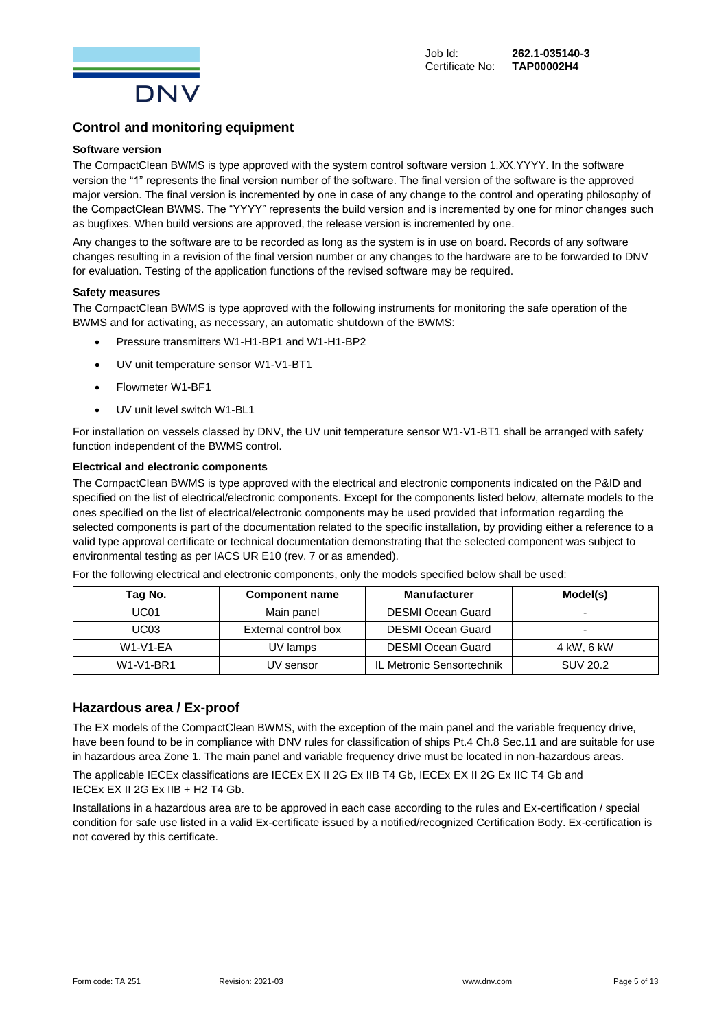

## **Control and monitoring equipment**

#### **Software version**

The CompactClean BWMS is type approved with the system control software version 1.XX.YYYY. In the software version the "1" represents the final version number of the software. The final version of the software is the approved major version. The final version is incremented by one in case of any change to the control and operating philosophy of the CompactClean BWMS. The "YYYY" represents the build version and is incremented by one for minor changes such as bugfixes. When build versions are approved, the release version is incremented by one.

Any changes to the software are to be recorded as long as the system is in use on board. Records of any software changes resulting in a revision of the final version number or any changes to the hardware are to be forwarded to DNV for evaluation. Testing of the application functions of the revised software may be required.

#### **Safety measures**

The CompactClean BWMS is type approved with the following instruments for monitoring the safe operation of the BWMS and for activating, as necessary, an automatic shutdown of the BWMS:

- Pressure transmitters W1-H1-BP1 and W1-H1-BP2
- UV unit temperature sensor W1-V1-BT1
- Flowmeter W1-BF1
- UV unit level switch W1-BL1

For installation on vessels classed by DNV, the UV unit temperature sensor W1-V1-BT1 shall be arranged with safety function independent of the BWMS control.

#### **Electrical and electronic components**

The CompactClean BWMS is type approved with the electrical and electronic components indicated on the P&ID and specified on the list of electrical/electronic components. Except for the components listed below, alternate models to the ones specified on the list of electrical/electronic components may be used provided that information regarding the selected components is part of the documentation related to the specific installation, by providing either a reference to a valid type approval certificate or technical documentation demonstrating that the selected component was subject to environmental testing as per IACS UR E10 (rev. 7 or as amended).

For the following electrical and electronic components, only the models specified below shall be used:

| Tag No.          | <b>Component name</b> | <b>Manufacturer</b>       | Model(s)        |
|------------------|-----------------------|---------------------------|-----------------|
| UC <sub>01</sub> | Main panel            | <b>DESMI Ocean Guard</b>  |                 |
| UC03             | External control box  | <b>DESMI Ocean Guard</b>  | -               |
| <b>W1-V1-EA</b>  | UV lamps              | <b>DESMI Ocean Guard</b>  | 4 kW. 6 kW      |
| W1-V1-BR1        | UV sensor             | IL Metronic Sensortechnik | <b>SUV 20.2</b> |

## **Hazardous area / Ex-proof**

The EX models of the CompactClean BWMS, with the exception of the main panel and the variable frequency drive, have been found to be in compliance with DNV rules for classification of ships Pt.4 Ch.8 Sec.11 and are suitable for use in hazardous area Zone 1. The main panel and variable frequency drive must be located in non-hazardous areas.

The applicable IECEx classifications are IECEx EX II 2G Ex IIB T4 Gb, IECEx EX II 2G Ex IIC T4 Gb and IECEx EX II 2G Ex IIB + H2 T4 Gb.

Installations in a hazardous area are to be approved in each case according to the rules and Ex-certification / special condition for safe use listed in a valid Ex-certificate issued by a notified/recognized Certification Body. Ex-certification is not covered by this certificate.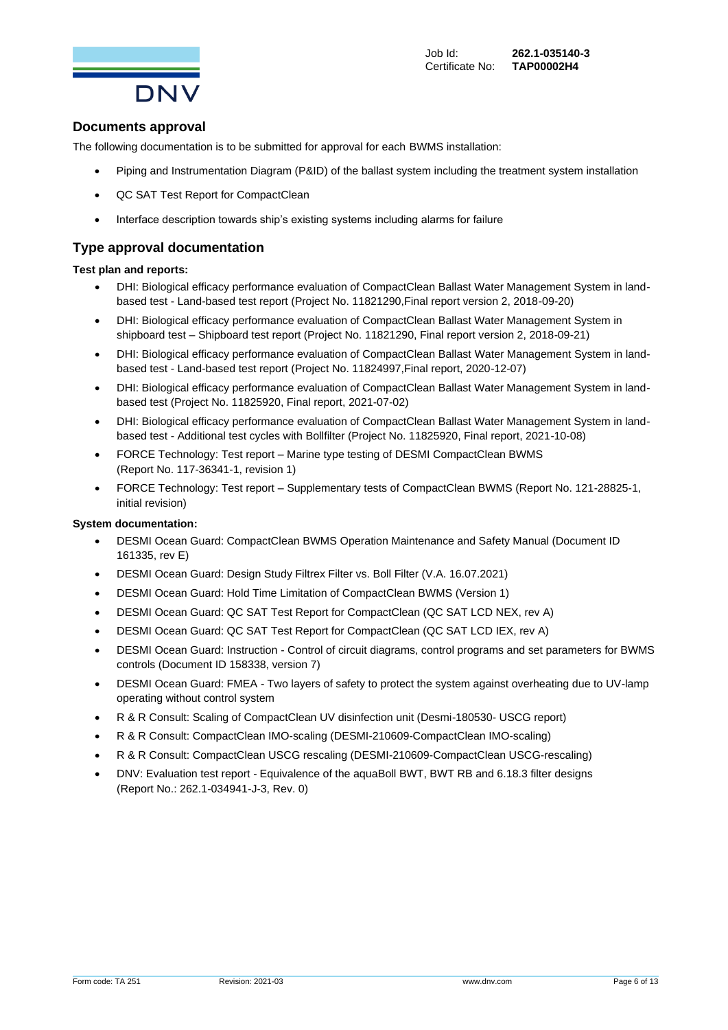

## **Documents approval**

The following documentation is to be submitted for approval for each BWMS installation:

- Piping and Instrumentation Diagram (P&ID) of the ballast system including the treatment system installation
- QC SAT Test Report for CompactClean
- Interface description towards ship's existing systems including alarms for failure

## **Type approval documentation**

#### **Test plan and reports:**

- DHI: Biological efficacy performance evaluation of CompactClean Ballast Water Management System in landbased test - Land-based test report (Project No. 11821290,Final report version 2, 2018-09-20)
- DHI: Biological efficacy performance evaluation of CompactClean Ballast Water Management System in shipboard test – Shipboard test report (Project No. 11821290, Final report version 2, 2018-09-21)
- DHI: Biological efficacy performance evaluation of CompactClean Ballast Water Management System in landbased test - Land-based test report (Project No. 11824997,Final report, 2020-12-07)
- DHI: Biological efficacy performance evaluation of CompactClean Ballast Water Management System in landbased test (Project No. 11825920, Final report, 2021-07-02)
- DHI: Biological efficacy performance evaluation of CompactClean Ballast Water Management System in landbased test - Additional test cycles with Bollfilter (Project No. 11825920, Final report, 2021-10-08)
- FORCE Technology: Test report Marine type testing of DESMI CompactClean BWMS (Report No. 117-36341-1, revision 1)
- FORCE Technology: Test report Supplementary tests of CompactClean BWMS (Report No. 121-28825-1, initial revision)

#### **System documentation:**

- DESMI Ocean Guard: CompactClean BWMS Operation Maintenance and Safety Manual (Document ID 161335, rev E)
- DESMI Ocean Guard: Design Study Filtrex Filter vs. Boll Filter (V.A. 16.07.2021)
- DESMI Ocean Guard: Hold Time Limitation of CompactClean BWMS (Version 1)
- DESMI Ocean Guard: QC SAT Test Report for CompactClean (QC SAT LCD NEX, rev A)
- DESMI Ocean Guard: QC SAT Test Report for CompactClean (QC SAT LCD IEX, rev A)
- DESMI Ocean Guard: Instruction Control of circuit diagrams, control programs and set parameters for BWMS controls (Document ID 158338, version 7)
- DESMI Ocean Guard: FMEA Two layers of safety to protect the system against overheating due to UV-lamp operating without control system
- R & R Consult: Scaling of CompactClean UV disinfection unit (Desmi-180530- USCG report)
- R & R Consult: CompactClean IMO-scaling (DESMI-210609-CompactClean IMO-scaling)
- R & R Consult: CompactClean USCG rescaling (DESMI-210609-CompactClean USCG-rescaling)
- DNV: Evaluation test report Equivalence of the aquaBoll BWT, BWT RB and 6.18.3 filter designs (Report No.: 262.1-034941-J-3, Rev. 0)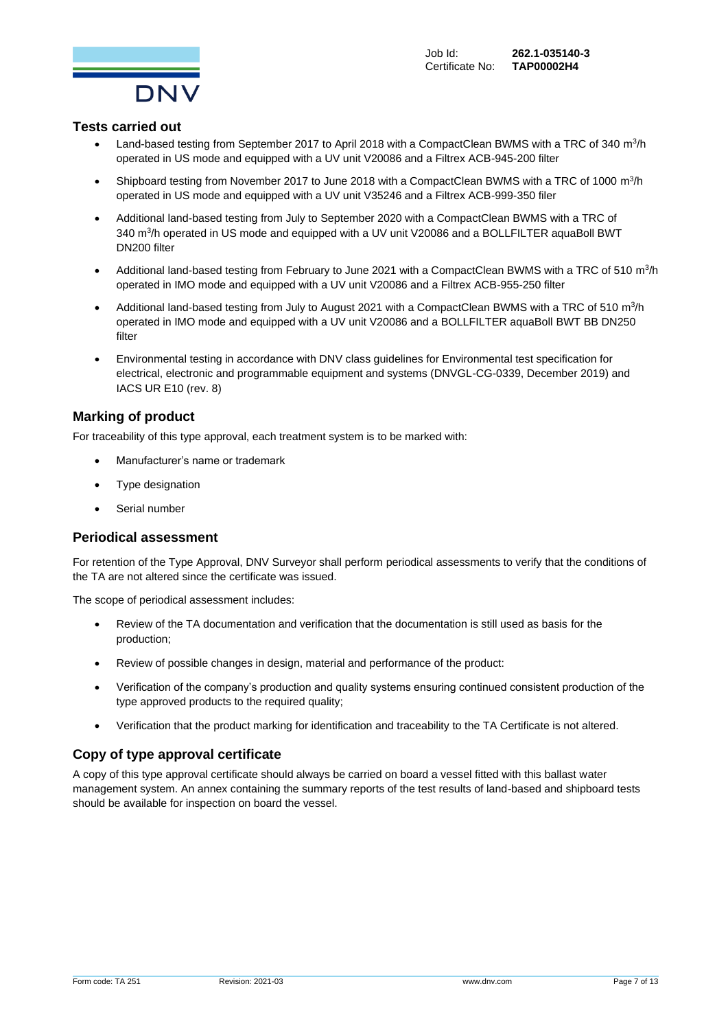

## **Tests carried out**

- Land-based testing from September 2017 to April 2018 with a CompactClean BWMS with a TRC of 340 m<sup>3</sup>/h operated in US mode and equipped with a UV unit V20086 and a Filtrex ACB-945-200 filter
- Shipboard testing from November 2017 to June 2018 with a CompactClean BWMS with a TRC of 1000  $m^3/h$ operated in US mode and equipped with a UV unit V35246 and a Filtrex ACB-999-350 filer
- Additional land-based testing from July to September 2020 with a CompactClean BWMS with a TRC of 340 m<sup>3</sup>/h operated in US mode and equipped with a UV unit V20086 and a BOLLFILTER aquaBoll BWT DN200 filter
- Additional land-based testing from February to June 2021 with a CompactClean BWMS with a TRC of 510  $m^3/h$ operated in IMO mode and equipped with a UV unit V20086 and a Filtrex ACB-955-250 filter
- Additional land-based testing from July to August 2021 with a CompactClean BWMS with a TRC of 510  $m^3/h$ operated in IMO mode and equipped with a UV unit V20086 and a BOLLFILTER aquaBoll BWT BB DN250 filter
- Environmental testing in accordance with DNV class guidelines for Environmental test specification for electrical, electronic and programmable equipment and systems (DNVGL-CG-0339, December 2019) and IACS UR E10 (rev. 8)

## **Marking of product**

For traceability of this type approval, each treatment system is to be marked with:

- Manufacturer's name or trademark
- Type designation
- Serial number

#### **Periodical assessment**

For retention of the Type Approval, DNV Surveyor shall perform periodical assessments to verify that the conditions of the TA are not altered since the certificate was issued.

The scope of periodical assessment includes:

- Review of the TA documentation and verification that the documentation is still used as basis for the production;
- Review of possible changes in design, material and performance of the product:
- Verification of the company's production and quality systems ensuring continued consistent production of the type approved products to the required quality;
- Verification that the product marking for identification and traceability to the TA Certificate is not altered.

## **Copy of type approval certificate**

A copy of this type approval certificate should always be carried on board a vessel fitted with this ballast water management system. An annex containing the summary reports of the test results of land-based and shipboard tests should be available for inspection on board the vessel.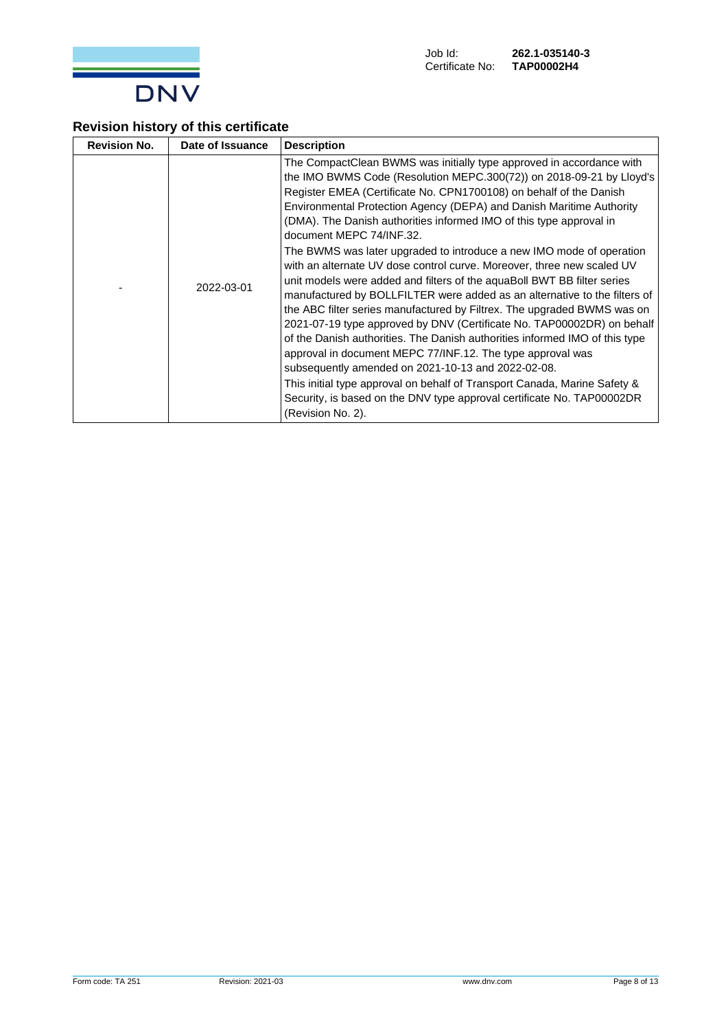

## **Revision history of this certificate**

| <b>Revision No.</b> | Date of Issuance | <b>Description</b>                                                                                                                                                                                                                                                                                                                                                                                                                                                                                                                                                                                                                                                                                                                                                                                                                                                                                                                                                                                                                                                                                                                                                                                                                          |
|---------------------|------------------|---------------------------------------------------------------------------------------------------------------------------------------------------------------------------------------------------------------------------------------------------------------------------------------------------------------------------------------------------------------------------------------------------------------------------------------------------------------------------------------------------------------------------------------------------------------------------------------------------------------------------------------------------------------------------------------------------------------------------------------------------------------------------------------------------------------------------------------------------------------------------------------------------------------------------------------------------------------------------------------------------------------------------------------------------------------------------------------------------------------------------------------------------------------------------------------------------------------------------------------------|
|                     | 2022-03-01       | The CompactClean BWMS was initially type approved in accordance with<br>the IMO BWMS Code (Resolution MEPC.300(72)) on 2018-09-21 by Lloyd's<br>Register EMEA (Certificate No. CPN1700108) on behalf of the Danish<br>Environmental Protection Agency (DEPA) and Danish Maritime Authority<br>(DMA). The Danish authorities informed IMO of this type approval in<br>document MEPC 74/INF.32.<br>The BWMS was later upgraded to introduce a new IMO mode of operation<br>with an alternate UV dose control curve. Moreover, three new scaled UV<br>unit models were added and filters of the aguaBoll BWT BB filter series<br>manufactured by BOLLFILTER were added as an alternative to the filters of<br>the ABC filter series manufactured by Filtrex. The upgraded BWMS was on<br>2021-07-19 type approved by DNV (Certificate No. TAP00002DR) on behalf<br>of the Danish authorities. The Danish authorities informed IMO of this type<br>approval in document MEPC 77/INF.12. The type approval was<br>subsequently amended on 2021-10-13 and 2022-02-08.<br>This initial type approval on behalf of Transport Canada, Marine Safety &<br>Security, is based on the DNV type approval certificate No. TAP00002DR<br>(Revision No. 2). |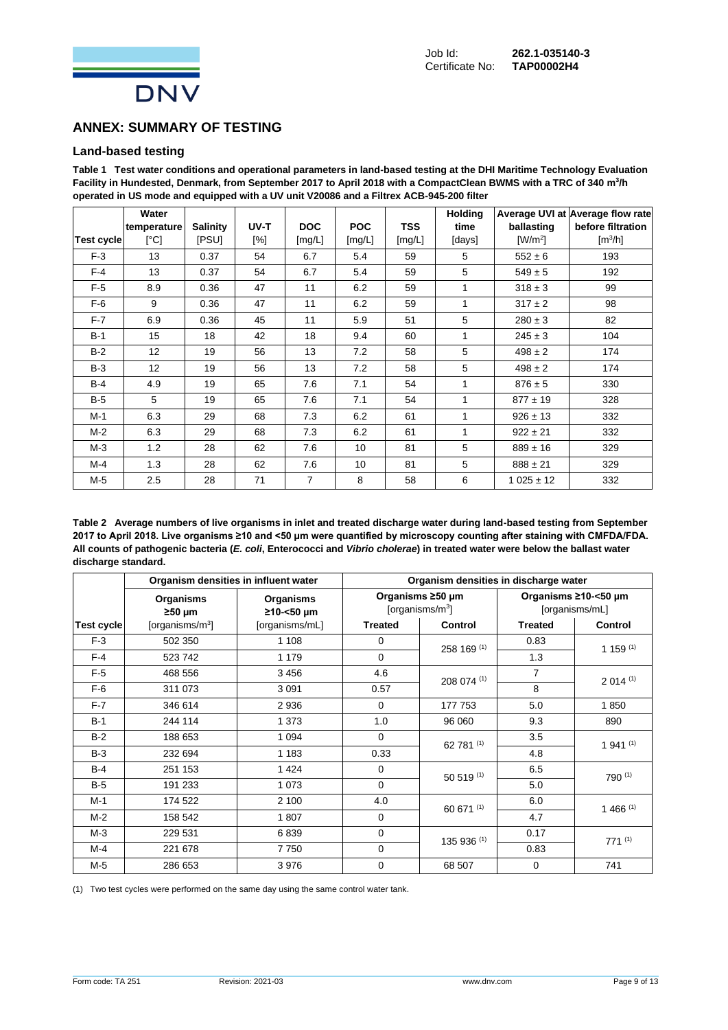

## **ANNEX: SUMMARY OF TESTING**

## **Land-based testing**

**Table 1 Test water conditions and operational parameters in land-based testing at the DHI Maritime Technology Evaluation Facility in Hundested, Denmark, from September 2017 to April 2018 with a CompactClean BWMS with a TRC of 340 m<sup>3</sup> /h operated in US mode and equipped with a UV unit V20086 and a Filtrex ACB-945-200 filter**

|            | Water                     |                 |        |                |            |            | <b>Holding</b> |               | Average UVI at Average flow rate |
|------------|---------------------------|-----------------|--------|----------------|------------|------------|----------------|---------------|----------------------------------|
|            | temperature               | <b>Salinity</b> | UV-T   | <b>DOC</b>     | <b>POC</b> | <b>TSS</b> | time           | ballasting    | before filtration                |
| Test cycle | $\lceil{^{\circ}C}\rceil$ | [PSU]           | $[\%]$ | [mg/L]         | [mg/L]     | [mg/L]     | [days]         | $[W/m^2]$     | $\left[\frac{m^3}{h}\right]$     |
| $F-3$      | 13                        | 0.37            | 54     | 6.7            | 5.4        | 59         | 5              | $552 \pm 6$   | 193                              |
| $F-4$      | 13                        | 0.37            | 54     | 6.7            | 5.4        | 59         | 5              | $549 \pm 5$   | 192                              |
| $F-5$      | 8.9                       | 0.36            | 47     | 11             | 6.2        | 59         | 1              | $318 \pm 3$   | 99                               |
| $F-6$      | 9                         | 0.36            | 47     | 11             | 6.2        | 59         | 1              | $317 \pm 2$   | 98                               |
| $F-7$      | 6.9                       | 0.36            | 45     | 11             | 5.9        | 51         | 5              | $280 \pm 3$   | 82                               |
| $B-1$      | 15                        | 18              | 42     | 18             | 9.4        | 60         | 1              | $245 \pm 3$   | 104                              |
| $B-2$      | 12 <sup>2</sup>           | 19              | 56     | 13             | 7.2        | 58         | 5              | $498 \pm 2$   | 174                              |
| $B-3$      | 12 <sup>2</sup>           | 19              | 56     | 13             | 7.2        | 58         | 5              | $498 \pm 2$   | 174                              |
| $B-4$      | 4.9                       | 19              | 65     | 7.6            | 7.1        | 54         | 1              | $876 \pm 5$   | 330                              |
| $B-5$      | 5                         | 19              | 65     | 7.6            | 7.1        | 54         | 1              | $877 \pm 19$  | 328                              |
| $M-1$      | 6.3                       | 29              | 68     | 7.3            | 6.2        | 61         | 1              | $926 \pm 13$  | 332                              |
| $M-2$      | 6.3                       | 29              | 68     | 7.3            | 6.2        | 61         | 1              | $922 \pm 21$  | 332                              |
| $M-3$      | 1.2                       | 28              | 62     | 7.6            | 10         | 81         | 5              | $889 \pm 16$  | 329                              |
| M-4        | 1.3                       | 28              | 62     | 7.6            | 10         | 81         | 5              | $888 \pm 21$  | 329                              |
| M-5        | 2.5                       | 28              | 71     | $\overline{7}$ | 8          | 58         | 6              | $1025 \pm 12$ | 332                              |

**Table 2 Average numbers of live organisms in inlet and treated discharge water during land-based testing from September 2017 to April 2018. Live organisms ≥10 and <50 µm were quantified by microscopy counting after staining with CMFDA/FDA. All counts of pathogenic bacteria (***E. coli***, Enterococci and** *Vibrio cholerae***) in treated water were below the ballast water discharge standard.**

|                   | Organism densities in influent water |                                | Organism densities in discharge water |                                        |                |                                        |
|-------------------|--------------------------------------|--------------------------------|---------------------------------------|----------------------------------------|----------------|----------------------------------------|
|                   | <b>Organisms</b><br>$\geq 50$ µm     | <b>Organisms</b><br>≥10-<50 µm |                                       | Organisms ≥50 µm<br>[organisms/m $3$ ] |                | Organisms ≥10-<50 µm<br>[organisms/mL] |
| <b>Test cycle</b> | [organisms/ $m^3$ ]                  | [organisms/mL]                 | <b>Treated</b>                        | <b>Control</b>                         | <b>Treated</b> | Control                                |
| $F-3$             | 502 350                              | 1 1 0 8                        | 0                                     | 258 169 (1)                            | 0.83           | 1 159 $(1)$                            |
| $F-4$             | 523742                               | 1 1 7 9                        | $\mathbf 0$                           |                                        | 1.3            |                                        |
| $F-5$             | 468 556                              | 3 4 5 6                        | 4.6                                   | 208 074 (1)                            | $\overline{7}$ | $2014^{(1)}$                           |
| $F-6$             | 311 073                              | 3 0 9 1                        | 0.57                                  |                                        | 8              |                                        |
| $F-7$             | 346 614                              | 2936                           | $\Omega$                              | 177 753                                | 5.0            | 1850                                   |
| $B-1$             | 244 114                              | 1 3 7 3                        | 1.0                                   | 96 060                                 | 9.3            | 890                                    |
| $B-2$             | 188 653                              | 1 0 9 4                        | $\Omega$                              | 62 781 (1)                             | 3.5            | $1941^{(1)}$                           |
| $B-3$             | 232 694                              | 1 1 8 3                        | 0.33                                  |                                        | 4.8            |                                        |
| $B-4$             | 251 153                              | 1424                           | $\Omega$                              | 50 519 (1)                             | 6.5            | 790 (1)                                |
| $B-5$             | 191 233                              | 1 0 7 3                        | $\Omega$                              |                                        | 5.0            |                                        |
| $M-1$             | 174 522                              | 2 100                          | 4.0                                   | 60 671 (1)                             | 6.0            | $1466^{(1)}$                           |
| $M-2$             | 158 542                              | 1807                           | $\Omega$                              |                                        | 4.7            |                                        |
| $M-3$             | 229 531                              | 6839                           | 0                                     | 135 936 (1)                            | 0.17           | $771^{(1)}$                            |
| M-4               | 221 678                              | 7750                           | $\mathbf 0$                           |                                        | 0.83           |                                        |
| $M-5$             | 286 653                              | 3976                           | $\mathbf 0$                           | 68 507                                 | 0              | 741                                    |

(1) Two test cycles were performed on the same day using the same control water tank.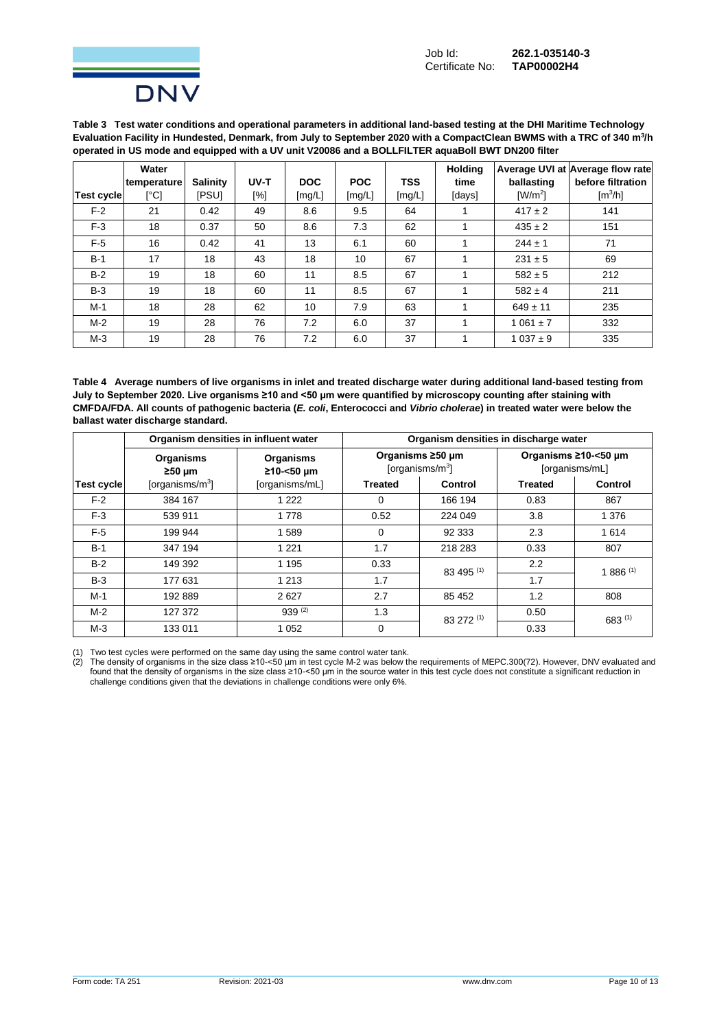

**Table 3 Test water conditions and operational parameters in additional land-based testing at the DHI Maritime Technology Evaluation Facility in Hundested, Denmark, from July to September 2020 with a CompactClean BWMS with a TRC of 340 m<sup>3</sup> /h operated in US mode and equipped with a UV unit V20086 and a BOLLFILTER aquaBoll BWT DN200 filter**

|                   | Water<br>temperature | Salinity     | UV-T | <b>DOC</b> | <b>POC</b> | <b>TSS</b> | <b>Holding</b><br>time | ballasting   | Average UVI at Average flow rate<br>before filtration |
|-------------------|----------------------|--------------|------|------------|------------|------------|------------------------|--------------|-------------------------------------------------------|
| <b>Test cycle</b> | [°C]                 | <b>IPSUI</b> | [%]  | [mg/L]     | [mg/L]     | [mg/L]     | [days]                 | $[W/m^2]$    | [m <sup>3</sup> /h]                                   |
| $F-2$             | 21                   | 0.42         | 49   | 8.6        | 9.5        | 64         |                        | $417 \pm 2$  | 141                                                   |
| $F-3$             | 18                   | 0.37         | 50   | 8.6        | 7.3        | 62         |                        | $435 \pm 2$  | 151                                                   |
| $F-5$             | 16                   | 0.42         | 41   | 13         | 6.1        | 60         | 1                      | $244 \pm 1$  | 71                                                    |
| $B-1$             | 17                   | 18           | 43   | 18         | 10         | 67         |                        | $231 \pm 5$  | 69                                                    |
| $B-2$             | 19                   | 18           | 60   | 11         | 8.5        | 67         |                        | $582 \pm 5$  | 212                                                   |
| $B-3$             | 19                   | 18           | 60   | 11         | 8.5        | 67         |                        | $582 \pm 4$  | 211                                                   |
| $M-1$             | 18                   | 28           | 62   | 10         | 7.9        | 63         | 1                      | $649 \pm 11$ | 235                                                   |
| $M-2$             | 19                   | 28           | 76   | 7.2        | 6.0        | 37         | 1                      | $1061 \pm 7$ | 332                                                   |
| $M-3$             | 19                   | 28           | 76   | 7.2        | 6.0        | 37         |                        | $1037 \pm 9$ | 335                                                   |

**Table 4 Average numbers of live organisms in inlet and treated discharge water during additional land-based testing from July to September 2020. Live organisms ≥10 and <50 µm were quantified by microscopy counting after staining with CMFDA/FDA. All counts of pathogenic bacteria (***E. coli***, Enterococci and** *Vibrio cholerae***) in treated water were below the ballast water discharge standard.**

|                   | Organism densities in influent water |                         | Organism densities in discharge water |                                         |                                        |                |  |  |
|-------------------|--------------------------------------|-------------------------|---------------------------------------|-----------------------------------------|----------------------------------------|----------------|--|--|
|                   | <b>Organisms</b><br>$≥50 \mu m$      | Organisms<br>≥10-<50 µm |                                       | Organisms ≥50 µm<br>[organisms/ $m^3$ ] | Organisms ≥10-<50 µm<br>[organisms/mL] |                |  |  |
| <b>Test cycle</b> | [organisms/m $3$ ]                   | [organisms/mL]          | Treated                               | <b>Control</b>                          | <b>Treated</b>                         | <b>Control</b> |  |  |
| $F-2$             | 384 167                              | 1 2 2 2                 | $\Omega$                              | 166 194                                 | 0.83                                   | 867            |  |  |
| $F-3$             | 539 911                              | 1 7 7 8                 | 0.52                                  | 224 049                                 | 3.8                                    | 1 3 7 6        |  |  |
| $F-5$             | 199 944                              | 1589                    | $\Omega$                              | 92 333                                  | 2.3                                    | 1614           |  |  |
| $B-1$             | 347 194                              | 1 2 2 1                 | 1.7                                   | 218 283                                 | 0.33                                   | 807            |  |  |
| $B-2$             | 149 392                              | 1 1 9 5                 | 0.33                                  | 83 495 (1)                              | 2.2                                    | $1886^{(1)}$   |  |  |
| $B-3$             | 177 631                              | 1 2 1 3                 | 1.7                                   |                                         | 1.7                                    |                |  |  |
| M-1               | 192889                               | 2627                    | 2.7                                   | 85 452                                  | 1.2                                    | 808            |  |  |
| $M-2$             | 127 372                              | $939^{(2)}$             | 1.3                                   | 83 272 (1)                              | 0.50                                   | $683^{(1)}$    |  |  |
| $M-3$             | 133 011                              | 1 0 5 2                 | $\Omega$                              |                                         | 0.33                                   |                |  |  |

(1) Two test cycles were performed on the same day using the same control water tank.

(2) The density of organisms in the size class ≥10-<50 µm in test cycle M-2 was below the requirements of MEPC.300(72). However, DNV evaluated and found that the density of organisms in the size class ≥10-<50 μm in the source water in this test cycle does not constitute a significant reduction in challenge conditions given that the deviations in challenge conditions were only 6%.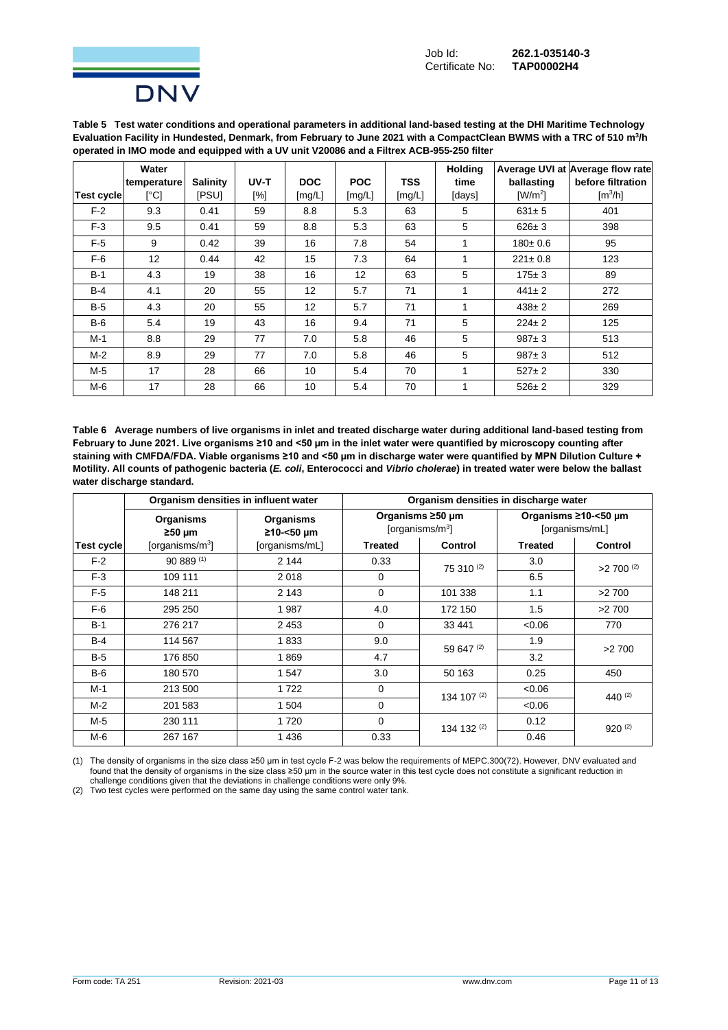

**Table 5 Test water conditions and operational parameters in additional land-based testing at the DHI Maritime Technology Evaluation Facility in Hundested, Denmark, from February to June 2021 with a CompactClean BWMS with a TRC of 510 m<sup>3</sup> /h operated in IMO mode and equipped with a UV unit V20086 and a Filtrex ACB-955-250 filter**

|                   | Water                     |                 |      |            |            |            | <b>Holding</b> |                              | Average UVI at Average flow rate |
|-------------------|---------------------------|-----------------|------|------------|------------|------------|----------------|------------------------------|----------------------------------|
|                   | temperature               | <b>Salinity</b> | UV-T | <b>DOC</b> | <b>POC</b> | <b>TSS</b> | time           | ballasting                   | before filtration                |
| <b>Test cycle</b> | $\lceil{^{\circ}C}\rceil$ | <b>IPSUI</b>    | [%]  | [mg/L]     | [mg/L]     | [mg/L]     | [days]         | $\left[\frac{W}{m^2}\right]$ | $\text{[m}^3/\text{h}$           |
| $F-2$             | 9.3                       | 0.41            | 59   | 8.8        | 5.3        | 63         | 5              | $631 \pm 5$                  | 401                              |
| $F-3$             | 9.5                       | 0.41            | 59   | 8.8        | 5.3        | 63         | 5              | $626 \pm 3$                  | 398                              |
| $F-5$             | 9                         | 0.42            | 39   | 16         | 7.8        | 54         | 1              | $180 \pm 0.6$                | 95                               |
| $F-6$             | 12                        | 0.44            | 42   | 15         | 7.3        | 64         | 1              | $221 \pm 0.8$                | 123                              |
| $B-1$             | 4.3                       | 19              | 38   | 16         | 12         | 63         | 5              | $175 \pm 3$                  | 89                               |
| $B-4$             | 4.1                       | 20              | 55   | 12         | 5.7        | 71         | 1              | $441 \pm 2$                  | 272                              |
| $B-5$             | 4.3                       | 20              | 55   | 12         | 5.7        | 71         | 1              | $438 \pm 2$                  | 269                              |
| $B-6$             | 5.4                       | 19              | 43   | 16         | 9.4        | 71         | 5              | $224 \pm 2$                  | 125                              |
| $M-1$             | 8.8                       | 29              | 77   | 7.0        | 5.8        | 46         | 5              | $987 + 3$                    | 513                              |
| $M-2$             | 8.9                       | 29              | 77   | 7.0        | 5.8        | 46         | 5              | $987 + 3$                    | 512                              |
| M-5               | 17                        | 28              | 66   | 10         | 5.4        | 70         | 1              | $527 \pm 2$                  | 330                              |
| M-6               | 17                        | 28              | 66   | 10         | 5.4        | 70         | 1              | $526 \pm 2$                  | 329                              |

**Table 6 Average numbers of live organisms in inlet and treated discharge water during additional land-based testing from February to June 2021. Live organisms ≥10 and <50 µm in the inlet water were quantified by microscopy counting after staining with CMFDA/FDA. Viable organisms ≥10 and <50 µm in discharge water were quantified by MPN Dilution Culture + Motility. All counts of pathogenic bacteria (***E. coli***, Enterococci and** *Vibrio cholerae***) in treated water were below the ballast water discharge standard.**

|            | Organism densities in influent water                    |                | Organism densities in discharge water   |                |                                        |                        |  |  |
|------------|---------------------------------------------------------|----------------|-----------------------------------------|----------------|----------------------------------------|------------------------|--|--|
|            | Organisms<br>Organisms<br>≥10-<50 µm<br>$\geq 50 \mu m$ |                | Organisms ≥50 µm<br>[organisms/ $m^3$ ] |                | Organisms ≥10-<50 µm<br>[organisms/mL] |                        |  |  |
| Test cycle | [organisms/ $m^3$ ]                                     | [organisms/mL] | <b>Treated</b>                          | <b>Control</b> | <b>Treated</b>                         | <b>Control</b>         |  |  |
| $F-2$      | $90889^{(1)}$                                           | 2 144          | 0.33                                    | $75310^{(2)}$  | 3.0                                    | $>2700$ <sup>(2)</sup> |  |  |
| $F-3$      | 109 111                                                 | 2018           | $\Omega$                                |                | 6.5                                    |                        |  |  |
| $F-5$      | 148 211                                                 | 2 1 4 3        | $\Omega$                                | 101 338        | 1.1                                    | >2700                  |  |  |
| $F-6$      | 295 250                                                 | 1987           | 4.0                                     | 172 150        | 1.5                                    | >2700                  |  |  |
| $B-1$      | 276 217                                                 | 2 4 5 3        | $\mathbf 0$                             | 33 441         | <0.06                                  | 770                    |  |  |
| $B-4$      | 114 567                                                 | 1833           | 9.0                                     | 59 647 (2)     | 1.9                                    | >2700                  |  |  |
| $B-5$      | 176 850                                                 | 1869           | 4.7                                     |                | 3.2                                    |                        |  |  |
| $B-6$      | 180 570                                                 | 1547           | 3.0                                     | 50 163         | 0.25                                   | 450                    |  |  |
| $M-1$      | 213 500                                                 | 1722           | $\Omega$                                | 134 107 $(2)$  | <0.06                                  | 440 $(2)$              |  |  |
| $M-2$      | 201 583                                                 | 1 504          | $\Omega$                                |                | <0.06                                  |                        |  |  |
| M-5        | 230 111                                                 | 1720           | $\Omega$                                | 134 132 (2)    | 0.12                                   | $920^{(2)}$            |  |  |
| M-6        | 267 167                                                 | 1436           | 0.33                                    |                | 0.46                                   |                        |  |  |

(1) The density of organisms in the size class ≥50 µm in test cycle F-2 was below the requirements of MEPC.300(72). However, DNV evaluated and found that the density of organisms in the size class ≥50 μm in the source water in this test cycle does not constitute a significant reduction in challenge conditions given that the deviations in challenge conditions were only 9%.

(2) Two test cycles were performed on the same day using the same control water tank.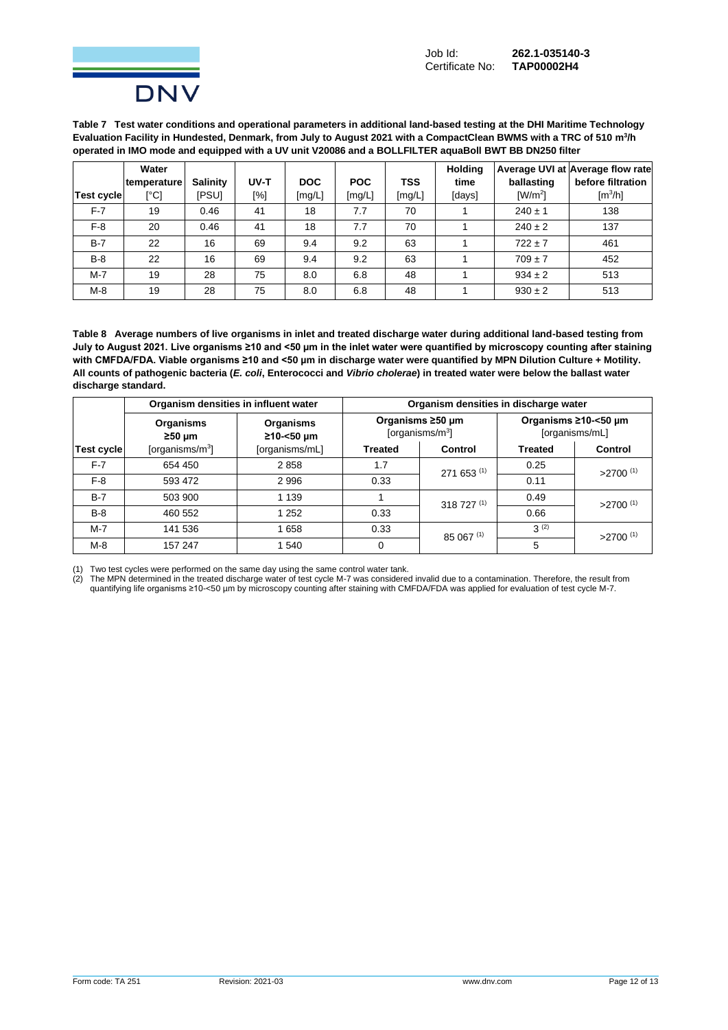

**Table 7 Test water conditions and operational parameters in additional land-based testing at the DHI Maritime Technology Evaluation Facility in Hundested, Denmark, from July to August 2021 with a CompactClean BWMS with a TRC of 510 m<sup>3</sup> /h operated in IMO mode and equipped with a UV unit V20086 and a BOLLFILTER aquaBoll BWT BB DN250 filter**

|            | Water       |                 |      |            |            |            | <b>Holding</b> |                       | Average UVI at Average flow rate |
|------------|-------------|-----------------|------|------------|------------|------------|----------------|-----------------------|----------------------------------|
|            | temperature | <b>Salinity</b> | UV-T | <b>DOC</b> | <b>POC</b> | <b>TSS</b> | time           | ballasting            | before filtration                |
| Test cycle | [°C]        | ipsui           | [%]  | [mg/L]     | [mg/L]     | [mg/L]     | [days]         | $\lceil W/m^2 \rceil$ | $\lceil m^3/h \rceil$            |
| $F-7$      | 19          | 0.46            | 41   | 18         | 7.7        | 70         |                | $240 \pm 1$           | 138                              |
| $F-8$      | 20          | 0.46            | 41   | 18         | 7.7        | 70         |                | $240 \pm 2$           | 137                              |
| $B-7$      | 22          | 16              | 69   | 9.4        | 9.2        | 63         |                | $722 \pm 7$           | 461                              |
| $B-8$      | 22          | 16              | 69   | 9.4        | 9.2        | 63         |                | $709 \pm 7$           | 452                              |
| $M - 7$    | 19          | 28              | 75   | 8.0        | 6.8        | 48         |                | $934 \pm 2$           | 513                              |
| $M-8$      | 19          | 28              | 75   | 8.0        | 6.8        | 48         |                | $930 \pm 2$           | 513                              |

**Table 8 Average numbers of live organisms in inlet and treated discharge water during additional land-based testing from July to August 2021. Live organisms ≥10 and <50 µm in the inlet water were quantified by microscopy counting after staining**  with CMFDA/FDA. Viable organisms ≥10 and <50 µm in discharge water were quantified by MPN Dilution Culture + Motility. **All counts of pathogenic bacteria (***E. coli***, Enterococci and** *Vibrio cholerae***) in treated water were below the ballast water discharge standard.**

|                   |                                                      | Organism densities in influent water | Organism densities in discharge water |                                         |                                        |                        |  |  |
|-------------------|------------------------------------------------------|--------------------------------------|---------------------------------------|-----------------------------------------|----------------------------------------|------------------------|--|--|
|                   | Organisms<br>Organisms<br>≥10-<50 µm<br>$\geq 50$ µm |                                      |                                       | Organisms ≥50 µm<br>[organisms/ $m^3$ ] | Organisms ≥10-<50 µm<br>[organisms/mL] |                        |  |  |
| <b>Test cycle</b> | [organisms/ $m3$ ]                                   | [organisms/mL]                       | <b>Treated</b>                        | Control                                 | <b>Treated</b>                         | Control                |  |  |
| $F-7$             | 654 450                                              | 2858                                 | 1.7                                   | 271 653 (1)                             | 0.25                                   | $>2700$ <sup>(1)</sup> |  |  |
| $F-8$             | 593 472                                              | 2996                                 | 0.33                                  |                                         | 0.11                                   |                        |  |  |
| $B-7$             | 503 900                                              | 1 1 3 9                              |                                       | 318 727 (1)                             | 0.49                                   | $>2700$ <sup>(1)</sup> |  |  |
| $B-8$             | 460 552                                              | 1 2 5 2                              | 0.33                                  |                                         | 0.66                                   |                        |  |  |
| $M-7$             | 141 536                                              | 1658                                 | 0.33                                  | 85 067 (1)                              | $3^{(2)}$                              | $>2700$ <sup>(1)</sup> |  |  |
| $M-8$             | 157 247                                              | 1 540                                | $\Omega$                              |                                         | 5                                      |                        |  |  |

(1) Two test cycles were performed on the same day using the same control water tank.

(2) The MPN determined in the treated discharge water of test cycle M-7 was considered invalid due to a contamination. Therefore, the result from quantifying life organisms ≥10-<50 µm by microscopy counting after staining with CMFDA/FDA was applied for evaluation of test cycle M-7.